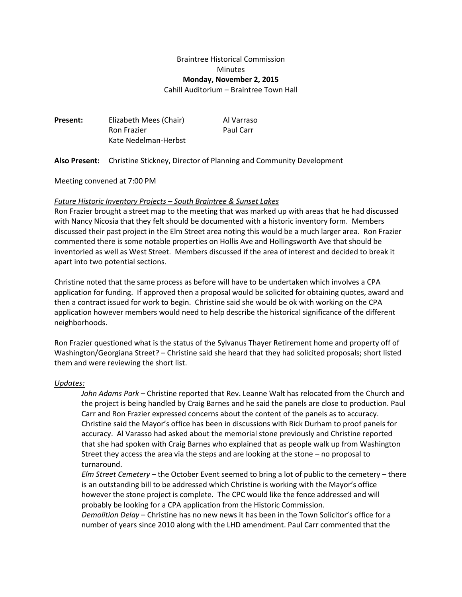# Braintree Historical Commission **Minutes Monday, November 2, 2015**

Cahill Auditorium – Braintree Town Hall

| Present: | Elizabeth Mees (Chair) | Al Varraso |
|----------|------------------------|------------|
|          | Ron Frazier            | Paul Carr  |
|          | Kate Nedelman-Herbst   |            |

**Also Present:** Christine Stickney, Director of Planning and Community Development

Meeting convened at 7:00 PM

### *Future Historic Inventory Projects – South Braintree & Sunset Lakes*

Ron Frazier brought a street map to the meeting that was marked up with areas that he had discussed with Nancy Nicosia that they felt should be documented with a historic inventory form. Members discussed their past project in the Elm Street area noting this would be a much larger area. Ron Frazier commented there is some notable properties on Hollis Ave and Hollingsworth Ave that should be inventoried as well as West Street. Members discussed if the area of interest and decided to break it apart into two potential sections.

Christine noted that the same process as before will have to be undertaken which involves a CPA application for funding. If approved then a proposal would be solicited for obtaining quotes, award and then a contract issued for work to begin. Christine said she would be ok with working on the CPA application however members would need to help describe the historical significance of the different neighborhoods.

Ron Frazier questioned what is the status of the Sylvanus Thayer Retirement home and property off of Washington/Georgiana Street? – Christine said she heard that they had solicited proposals; short listed them and were reviewing the short list.

#### *Updates:*

*John Adams Park –* Christine reported that Rev. Leanne Walt has relocated from the Church and the project is being handled by Craig Barnes and he said the panels are close to production. Paul Carr and Ron Frazier expressed concerns about the content of the panels as to accuracy. Christine said the Mayor's office has been in discussions with Rick Durham to proof panels for accuracy. Al Varasso had asked about the memorial stone previously and Christine reported that she had spoken with Craig Barnes who explained that as people walk up from Washington Street they access the area via the steps and are looking at the stone – no proposal to turnaround.

*Elm Street Cemetery* – the October Event seemed to bring a lot of public to the cemetery – there is an outstanding bill to be addressed which Christine is working with the Mayor's office however the stone project is complete. The CPC would like the fence addressed and will probably be looking for a CPA application from the Historic Commission.

*Demolition Delay* – Christine has no new news it has been in the Town Solicitor's office for a number of years since 2010 along with the LHD amendment. Paul Carr commented that the